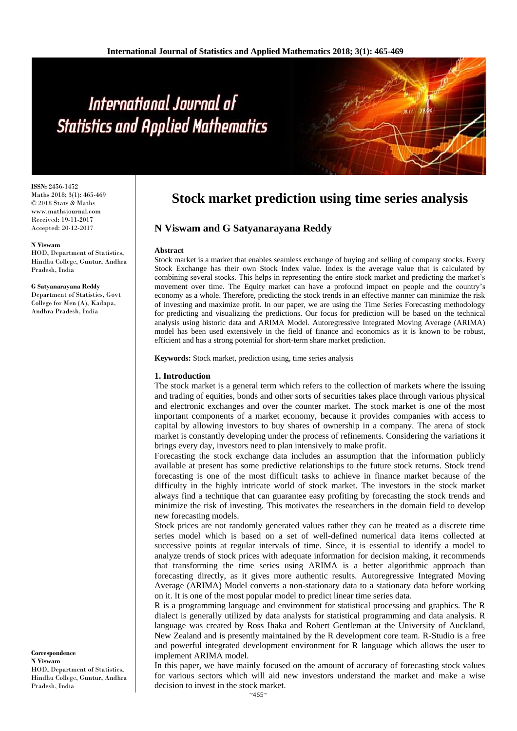# International Journal of **Statistics and Applied Mathematics**

**ISSN:** 2456-1452 Maths 2018; 3(1): 465-469 © 2018 Stats & Maths www.mathsjournal.com Received: 19-11-2017 Accepted: 20-12-2017

### **N Viswam**

HOD, Department of Statistics, Hindhu College, Guntur, Andhra Pradesh, India

### **G Satyanarayana Reddy**

Department of Statistics, Govt College for Men (A), Kadapa, Andhra Pradesh, India

### **Correspondence N Viswam** HOD, Department of Statistics, Hindhu College, Guntur, Andhra Pradesh, India

## **Stock market prediction using time series analysis**

### **N Viswam and G Satyanarayana Reddy**

### **Abstract**

Stock market is a market that enables seamless exchange of buying and selling of company stocks. Every Stock Exchange has their own Stock Index value. Index is the average value that is calculated by combining several stocks. This helps in representing the entire stock market and predicting the market's movement over time. The Equity market can have a profound impact on people and the country's economy as a whole. Therefore, predicting the stock trends in an effective manner can minimize the risk of investing and maximize profit. In our paper, we are using the Time Series Forecasting methodology for predicting and visualizing the predictions. Our focus for prediction will be based on the technical analysis using historic data and ARIMA Model. Autoregressive Integrated Moving Average (ARIMA) model has been used extensively in the field of finance and economics as it is known to be robust, efficient and has a strong potential for short-term share market prediction.

**Keywords:** Stock market, prediction using, time series analysis

### **1. Introduction**

The stock market is a general term which refers to the collection of markets where the issuing and trading of equities, bonds and other sorts of securities takes place through various physical and electronic exchanges and over the counter market. The stock market is one of the most important components of a market economy, because it provides companies with access to capital by allowing investors to buy shares of ownership in a company. The arena of stock market is constantly developing under the process of refinements. Considering the variations it brings every day, investors need to plan intensively to make profit.

Forecasting the stock exchange data includes an assumption that the information publicly available at present has some predictive relationships to the future stock returns. Stock trend forecasting is one of the most difficult tasks to achieve in finance market because of the difficulty in the highly intricate world of stock market. The investors in the stock market always find a technique that can guarantee easy profiting by forecasting the stock trends and minimize the risk of investing. This motivates the researchers in the domain field to develop new forecasting models.

Stock prices are not randomly generated values rather they can be treated as a discrete time series model which is based on a set of well-defined numerical data items collected at successive points at regular intervals of time. Since, it is essential to identify a model to analyze trends of stock prices with adequate information for decision making, it recommends that transforming the time series using ARIMA is a better algorithmic approach than forecasting directly, as it gives more authentic results. Autoregressive Integrated Moving Average (ARIMA) Model converts a non-stationary data to a stationary data before working on it. It is one of the most popular model to predict linear time series data.

R is a programming language and environment for statistical processing and graphics. The R dialect is generally utilized by data analysts for statistical programming and data analysis. R language was created by Ross Ihaka and Robert Gentleman at the University of Auckland, New Zealand and is presently maintained by the R development core team. R-Studio is a free and powerful integrated development environment for R language which allows the user to implement ARIMA model.

In this paper, we have mainly focused on the amount of accuracy of forecasting stock values for various sectors which will aid new investors understand the market and make a wise decision to invest in the stock market.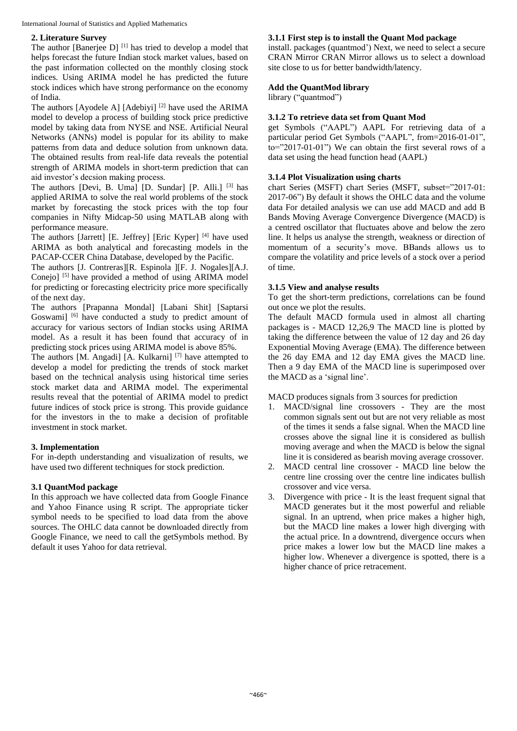### **2. Literature Survey**

The author [Banerjee D]  $^{[1]}$  has tried to develop a model that helps forecast the future Indian stock market values, based on the past information collected on the monthly closing stock indices. Using ARIMA model he has predicted the future stock indices which have strong performance on the economy of India.

The authors [Ayodele A] [Adebiyi]<sup>[2]</sup> have used the ARIMA model to develop a process of building stock price predictive model by taking data from NYSE and NSE. Artificial Neural Networks (ANNs) model is popular for its ability to make patterns from data and deduce solution from unknown data. The obtained results from real-life data reveals the potential strength of ARIMA models in short-term prediction that can aid investor's decsion making process.

The authors [Devi, B. Uma] [D. Sundar]  $[P.$  Alli.]  $^{[3]}$  has applied ARIMA to solve the real world problems of the stock market by forecasting the stock prices with the top four companies in Nifty Midcap-50 using MATLAB along with performance measure.

The authors [Jarrett] [E. Jeffrey] [Eric Kyper] [4] have used ARIMA as both analytical and forecasting models in the PACAP‐CCER China Database, developed by the Pacific.

The authors [J. Contreras][R. Espinola ][F. J. Nogales][A.J. Conejo] [5] have provided a method of using ARIMA model for predicting or forecasting electricity price more specifically of the next day.

The authors [Prapanna Mondal] [Labani Shit] [Saptarsi Goswami]<sup>[6]</sup> have conducted a study to predict amount of accuracy for various sectors of Indian stocks using ARIMA model. As a result it has been found that accuracy of in predicting stock prices using ARIMA model is above 85%.

The authors  $[M, Angadi]$  [A. Kulkarni]<sup>[7]</sup> have attempted to develop a model for predicting the trends of stock market based on the technical analysis using historical time series stock market data and ARIMA model. The experimental results reveal that the potential of ARIMA model to predict future indices of stock price is strong. This provide guidance for the investors in the to make a decision of profitable investment in stock market.

### **3. Implementation**

For in-depth understanding and visualization of results, we have used two different techniques for stock prediction.

### **3.1 QuantMod package**

In this approach we have collected data from Google Finance and Yahoo Finance using R script. The appropriate ticker symbol needs to be specified to load data from the above sources. The OHLC data cannot be downloaded directly from Google Finance, we need to call the getSymbols method. By default it uses Yahoo for data retrieval.

### **3.1.1 First step is to install the Quant Mod package**

install. packages (quantmod') Next, we need to select a secure CRAN Mirror CRAN Mirror allows us to select a download site close to us for better bandwidth/latency.

### **Add the QuantMod library**

library ("quantmod")

### **3.1.2 To retrieve data set from Quant Mod**

get Symbols ("AAPL") AAPL For retrieving data of a particular period Get Symbols ("AAPL", from=2016-01-01", to="2017-01-01") We can obtain the first several rows of a data set using the head function head (AAPL)

### **3.1.4 Plot Visualization using charts**

chart Series (MSFT) chart Series (MSFT, subset="2017-01: 2017-06") By default it shows the OHLC data and the volume data For detailed analysis we can use add MACD and add B Bands Moving Average Convergence Divergence (MACD) is a centred oscillator that fluctuates above and below the zero line. It helps us analyse the strength, weakness or direction of momentum of a security's move. BBands allows us to compare the volatility and price levels of a stock over a period of time.

### **3.1.5 View and analyse results**

To get the short-term predictions, correlations can be found out once we plot the results.

The default MACD formula used in almost all charting packages is - MACD 12,26,9 The MACD line is plotted by taking the difference between the value of 12 day and 26 day Exponential Moving Average (EMA). The difference between the 26 day EMA and 12 day EMA gives the MACD line. Then a 9 day EMA of the MACD line is superimposed over the MACD as a 'signal line'.

MACD produces signals from 3 sources for prediction

- 1. MACD/signal line crossovers They are the most common signals sent out but are not very reliable as most of the times it sends a false signal. When the MACD line crosses above the signal line it is considered as bullish moving average and when the MACD is below the signal line it is considered as bearish moving average crossover.
- 2. MACD central line crossover MACD line below the centre line crossing over the centre line indicates bullish crossover and vice versa.
- 3. Divergence with price It is the least frequent signal that MACD generates but it the most powerful and reliable signal. In an uptrend, when price makes a higher high, but the MACD line makes a lower high diverging with the actual price. In a downtrend, divergence occurs when price makes a lower low but the MACD line makes a higher low. Whenever a divergence is spotted, there is a higher chance of price retracement.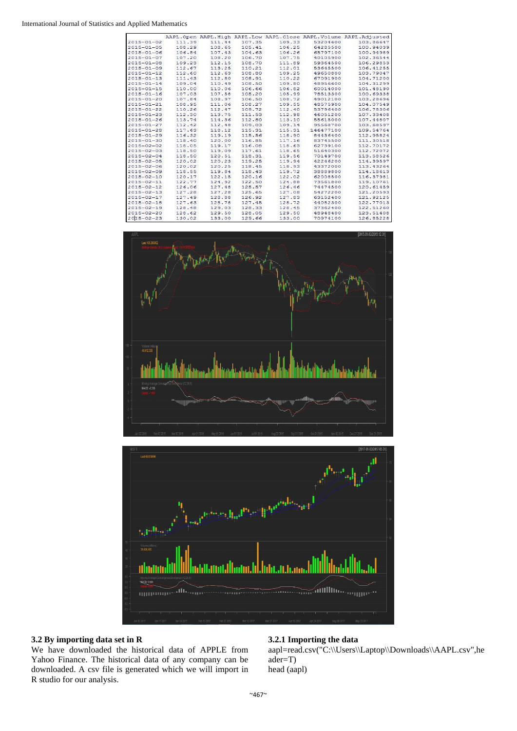|                  |        |        |        |        |           | AAPL. Open AAPL. High AAPL. Low AAPL. Close AAPL. Volume AAPL. Adjusted |
|------------------|--------|--------|--------|--------|-----------|-------------------------------------------------------------------------|
| $2015 - 01 - 02$ | 111.39 | 111.44 | 107.35 | 109.33 | 53204600  | 103.86647                                                               |
| $2015 - 01 - 05$ | 108.29 | 108.65 | 105.41 | 106.25 | 64285500  | 100.94039                                                               |
| $2015 - 01 - 06$ | 106.54 | 107.43 | 104.63 | 106.26 | 65797100  | 100.94989                                                               |
| $2015 - 01 - 07$ | 107.20 | 108.20 | 106.70 | 107.75 | 40105900  | 102.36544                                                               |
| $2015 - 01 - 08$ | 109.23 | 112.15 | 108.70 | 111.89 | 59364500  | 106.29853                                                               |
| $2015 - 01 - 09$ | 112.67 | 113.25 | 110.21 | 112.01 | 53645500  | 106.41255                                                               |
| $2015 - 01 - 12$ | 112.60 | 112.63 | 108.80 | 109.25 | 49650800  | 103.79047                                                               |
| $2015 - 01 - 13$ | 111.43 | 112.80 | 108.91 | 110.22 | 67091900  | 104,71200                                                               |
| $2015 - 01 - 14$ | 109.04 | 110.49 | 108.50 | 109.80 | 48956600  | 104.31299                                                               |
| $2015 - 01 - 15$ | 110.00 | 110.06 | 106.66 | 106.82 | 60014000  | 101.48190                                                               |
| $2015 - 01 - 16$ | 107.03 | 107.58 | 105.20 | 105.99 | 78513300  | 100.69338                                                               |
| $2015 - 01 - 20$ | 107.84 | 108.97 | 106.50 | 108.72 | 49012100  | 103.28696                                                               |
| $2015 - 01 - 21$ | 108.95 | 111.06 | 108.27 | 109.55 | 48575900  | 104.07549                                                               |
| $2015 - 01 - 22$ | 110.26 | 112.47 | 109.72 | 112.40 | 53796400  | 106.78306                                                               |
| $2015 - 01 - 23$ | 112.30 | 113.75 | 111.53 | 112.98 | 46051200  | 107.33408                                                               |
| $2015 - 01 - 26$ | 113.74 | 114.36 | 112.80 | 113.10 | 55615000  | 107.44807                                                               |
| $2015 - 01 - 27$ | 112.42 | 112.48 | 109.03 | 109.14 | 95568700  | 103.68597                                                               |
| $2015 - 01 - 28$ | 117.63 | 118.12 | 115.31 | 115.31 | 146477100 | 109.54764                                                               |
| $2015 - 01 - 29$ | 116.32 | 119.19 | 115.56 | 118.90 | 84436400  | 112.95824                                                               |
| $2015 - 01 - 30$ | 118.40 | 120.00 | 116.85 | 117.16 | 83745500  | 111.30518                                                               |
| $2015 - 02 - 02$ | 118.05 | 119.17 | 116.08 | 118.63 | 62739100  | 112.70172                                                               |
| $2015 - 02 - 03$ | 118.50 | 119.09 | 117.61 | 118.65 | 51640300  | 112.72072                                                               |
| $2015 - 02 - 04$ | 118.50 | 120.51 | 118.31 | 119.56 | 70149700  | 113.58526                                                               |
| $2015 - 02 - 05$ | 120.02 | 120.23 | 119.25 | 119.94 | 42246200  | 114.39597                                                               |
| $2015 - 02 - 06$ | 120.02 | 120.25 | 118.45 | 118.93 | 43372000  | 113.43264                                                               |
| $2015 - 02 - 09$ | 118.55 | 119.84 | 118.43 | 119.72 | 38889800  | 114,18613                                                               |
| $2015 - 02 - 10$ | 120.17 | 122.15 | 120.16 | 122.02 | 62008500  | 116.37981                                                               |
| $2015 - 02 - 11$ | 122.77 | 124.92 | 122.50 | 124.88 | 73561800  | 119.10761                                                               |
| $2015 - 02 - 12$ | 126.06 | 127.48 | 125.57 | 126.46 | 74474500  | 120.61459                                                               |
| $2015 - 02 - 13$ | 127.28 | 127.28 | 125.65 | 127.08 | 54272200  | 121.20593                                                               |
| $2015 - 02 - 17$ | 127.49 | 128.88 | 126.92 | 127.83 | 63152400  | 121.92125                                                               |
| $2015 - 02 - 18$ | 127.63 | 128.78 | 127.45 | 128.72 | 44082300  | 122.77013                                                               |
| $2015 - 02 - 19$ | 128.48 | 129.03 | 128.33 | 128.45 | 37362400  | 122.51260                                                               |
| $2015 - 02 - 20$ | 128.62 | 129.50 | 128.05 | 129.50 | 48948400  | 123.51408                                                               |
| $2015 - 02 - 23$ | 130.02 | 133.00 | 129.66 | 133,00 | 70974100  | 126.85228                                                               |



# **3.2 By importing data set in R**

<u> Albaltita</u>

**Illinoine-allicane** 

iddhillid

We have downloaded the historical data of APPLE from Yahoo Finance. The historical data of any company can be downloaded. A csv file is generated which we will import in R studio for our analysis.

### **3.2.1 Importing the data**

**All Server Addition of the Continue of the Continue of Allian Continue of Allian Continue of Allian Continue of The Continue of The Continue of The Continue of The Continue of The Continue of The Continue of The Continue** 

Mil.JL Iran

aapl=read.csv("C:\\Users\\Laptop\\Downloads\\AAPL.csv",he ader=T) head (aapl)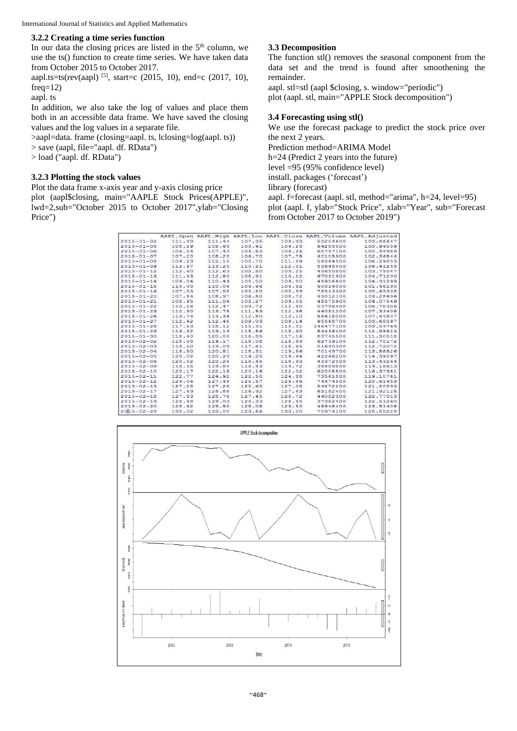### **3.2.2 Creating a time series function**

In our data the closing prices are listed in the  $5<sup>th</sup>$  column, we use the ts() function to create time series. We have taken data from October 2015 to October 2017.

aapl.ts=ts(rev(aapl)<sup>[5]</sup>, start=c (2015, 10), end=c (2017, 10),  $freq=12$ 

aapl. ts

In addition, we also take the log of values and place them both in an accessible data frame. We have saved the closing values and the log values in a separate file.

>aapl=data. frame (closing=aapl. ts, lclosing=log(aapl. ts))

> save (aapl, file="aapl. df. RData")

> load ("aapl. df. RData")

### **3.2.3 Plotting the stock values**

Plot the data frame x-axis year and y-axis closing price plot (aapl\$closing, main="AAPLE Stock Prices(APPLE)", lwd=2,sub="October 2015 to October 2017",ylab="Closing Price")

### **3.3 Decomposition**

The function stl() removes the seasonal component from the data set and the trend is found after smoothening the remainder.

aapl. stl=stl (aapl \$closing, s. window="periodic") plot (aapl. stl, main="APPLE Stock decomposition")

### **3.4 Forecasting using stl()**

We use the forecast package to predict the stock price over the next 2 years. Prediction method=ARIMA Model

h=24 (Predict 2 years into the future)

level =95 (95% confidence level)

install. packages ('forecast')

library (forecast)

aapl. f=forecast (aapl. stl, method="arima", h=24, level=95) plot (aapl. f, ylab="Stock Price", xlab="Year", sub="Forecast from October 2017 to October 2019")

|                  |        |        |        |        |           | AAPL. Open AAPL. High AAPL. Low AAPL. Close AAPL. Volume AAPL. Adjusted |
|------------------|--------|--------|--------|--------|-----------|-------------------------------------------------------------------------|
| $2015 - 01 - 02$ | 111.39 | 111.44 | 107.35 | 109.33 | 53204600  | 103.86647                                                               |
| $2015 - 01 - 05$ | 108.29 | 108.65 | 105.41 | 106.25 | 64285500  | 100.94039                                                               |
| $2015 - 01 - 06$ | 106.54 | 107.43 | 104.63 | 106.26 | 65797100  | 100.94989                                                               |
| $2015 - 01 - 07$ | 107.20 | 108.20 | 106.70 | 107.75 | 40105900  | 102.36544                                                               |
| $2015 - 01 - 08$ | 109.23 | 112.15 | 108.70 | 111.89 | 59364500  | 106.29853                                                               |
| $2015 - 01 - 09$ | 112.67 | 113.25 | 110.21 | 112.01 | 53645500  | 106.41255                                                               |
| $2015 - 01 - 12$ | 112.60 | 112.63 | 108.80 | 109.25 | 49650800  | 103.79047                                                               |
| $2015 - 01 - 13$ | 111.43 | 112.80 | 108.91 | 110.22 | 67091900  | 104.71200                                                               |
| $2015 - 01 - 14$ | 109.04 | 110.49 | 108.50 | 109.80 | 48956600  | 104.31299                                                               |
| $2015 - 01 - 15$ | 110.00 | 110.06 | 106.66 | 106.82 | 60014000  | 101.48190                                                               |
| $2015 - 01 - 16$ | 107.03 | 107.58 | 105.20 | 105.99 | 78513300  | 100.69338                                                               |
| $2015 - 01 - 20$ | 107.84 | 108.97 | 106.50 | 108.72 | 49012100  | 103.28696                                                               |
| $2015 - 01 - 21$ | 108.95 | 111.06 | 108.27 | 109.55 | 48575900  | 104.07549                                                               |
| $2015 - 01 - 22$ | 110.26 | 112.47 | 109.72 | 112.40 | 53796400  | 106.78306                                                               |
| $2015 - 01 - 23$ | 112.30 | 113.75 | 111.53 | 112.98 | 46051200  | 107.33408                                                               |
| $2015 - 01 - 26$ | 113.74 | 114.36 | 112.80 | 113.10 | 55615000  | 107.44807                                                               |
| $2015 - 01 - 27$ | 112.42 | 112.48 | 109.03 | 109.14 | 95568700  | 103.68597                                                               |
| $2015 - 01 - 28$ | 117.63 | 118.12 | 115.31 | 115.31 | 146477100 | 109.54764                                                               |
| $2015 - 01 - 29$ | 116.32 | 119.19 | 115.56 | 118.90 | 84436400  | 112.95824                                                               |
| $2015 - 01 - 30$ | 118.40 | 120.00 | 116.85 | 117.16 | 83745500  | 111.30518                                                               |
| $2015 - 02 - 02$ | 118.05 | 119.17 | 116.08 | 118.63 | 62739100  | 112,70172                                                               |
| $2015 - 02 - 03$ | 118.50 | 119.09 | 117.61 | 118.65 | 51640300  | 112.72072                                                               |
| $2015 - 02 - 04$ | 118.50 | 120.51 | 118.31 | 119.56 | 70149700  | 113.58526                                                               |
| $2015 - 02 - 05$ | 120.02 | 120.23 | 119.25 | 119.94 | 42246200  | 114.39597                                                               |
| $2015 - 02 - 06$ | 120.02 | 120.25 | 118.45 | 118.93 | 43372000  | 113.43264                                                               |
| $2015 - 02 - 09$ | 118.55 | 119.84 | 118.43 | 119.72 | 38889800  | 114.18613                                                               |
| $2015 - 02 - 10$ | 120.17 | 122.15 | 120.16 | 122.02 | 62008500  | 116.37981                                                               |
| $2015 - 02 - 11$ | 122.77 | 124.92 | 122.50 | 124.88 | 73561800  | 119.10761                                                               |
| $2015 - 02 - 12$ | 126.06 | 127.48 | 125.57 | 126.46 | 74474500  | 120.61459                                                               |
| $2015 - 02 - 13$ | 127.28 | 127.28 | 125.65 | 127.08 | 54272200  | 121.20593                                                               |
| $2015 - 02 - 17$ | 127.49 | 128.88 | 126.92 | 127.83 | 63152400  | 121.92125                                                               |
| $2015 - 02 - 18$ | 127.63 | 128.78 | 127.45 | 128.72 | 44082300  | 122.77013                                                               |
| $2015 - 02 - 19$ | 128.48 | 129.03 | 128.33 | 128.45 | 37362400  | 122.51260                                                               |
| $2015 - 02 - 20$ | 128.62 | 129.50 | 128.05 | 129.50 | 48948400  | 123,51408                                                               |
| $2015 - 02 - 23$ | 130.02 | 133.00 | 129.66 | 133.00 | 70974100  | 126.85228                                                               |